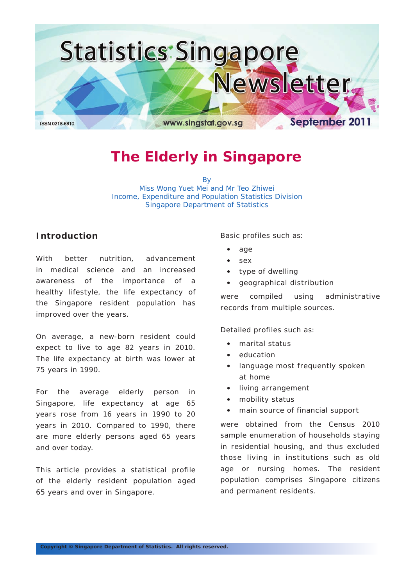

## **The Elderly in Singapore**

By Miss Wong Yuet Mei and Mr Teo Zhiwei Income, Expenditure and Population Statistics Division Singapore Department of Statistics

## **Introduction**

With better nutrition, advancement in medical science and an increased awareness of the importance of a healthy lifestyle, the life expectancy of the Singapore resident population has improved over the years.

On average, a new-born resident could expect to live to age 82 years in 2010. The life expectancy at birth was lower at 75 years in 1990.

For the average elderly person in Singapore, life expectancy at age 65 years rose from 16 years in 1990 to 20 years in 2010. Compared to 1990, there are more elderly persons aged 65 years and over today.

This article provides a statistical profile of the elderly resident population aged 65 years and over in Singapore.

Basic profiles such as:

- • age
- sex
- • type of dwelling
- • geographical distribution

were compiled using administrative records from multiple sources.

Detailed profiles such as:

- marital status
- education
- language most frequently spoken at home
- • living arrangement
- mobility status
- main source of financial support

were obtained from the Census 2010 sample enumeration of households staying in residential housing, and thus excluded those living in institutions such as old age or nursing homes. The resident population comprises Singapore citizens and permanent residents.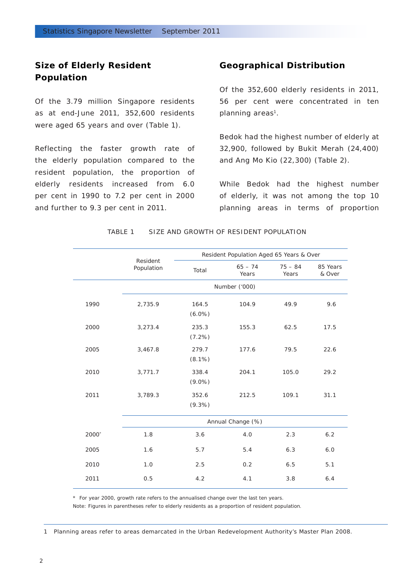## **Size of Elderly Resident Population**

Of the 3.79 million Singapore residents as at end-June 2011, 352,600 residents were aged 65 years and over (Table 1).

Reflecting the faster growth rate of the elderly population compared to the resident population, the proportion of elderly residents increased from 6.0 per cent in 1990 to 7.2 per cent in 2000 and further to 9.3 per cent in 2011.

## **Geographical Distribution**

Of the 352,600 elderly residents in 2011, 56 per cent were concentrated in ten planning areas<sup>1</sup>.

Bedok had the highest number of elderly at 32,900, followed by Bukit Merah (24,400) and Ang Mo Kio (22,300) (Table 2).

While Bedok had the highest number of elderly, it was not among the top 10 planning areas in terms of proportion

|       |                        |                    | Resident Population Aged 65 Years & Over |                    |                    |  |  |
|-------|------------------------|--------------------|------------------------------------------|--------------------|--------------------|--|--|
|       | Resident<br>Population | Total              | $65 - 74$<br>Years                       | $75 - 84$<br>Years | 85 Years<br>& Over |  |  |
|       |                        |                    | Number ('000)                            |                    |                    |  |  |
| 1990  | 2,735.9                | 164.5<br>$(6.0\%)$ | 104.9                                    | 49.9               | 9.6                |  |  |
| 2000  | 3,273.4                | 235.3<br>$(7.2\%)$ | 155.3                                    | 62.5               | 17.5               |  |  |
| 2005  | 3,467.8                | 279.7<br>$(8.1\%)$ | 177.6                                    | 79.5               | 22.6               |  |  |
| 2010  | 3,771.7                | 338.4<br>$(9.0\%)$ | 204.1                                    | 105.0              | 29.2               |  |  |
| 2011  | 3,789.3                | 352.6<br>$(9.3\%)$ | 212.5                                    | 109.1              | 31.1               |  |  |
|       |                        |                    | Annual Change (%)                        |                    |                    |  |  |
| 2000* | 1.8                    | 3.6                | 4.0                                      | 2.3                | 6.2                |  |  |
| 2005  | 1.6                    | 5.7                | 5.4                                      | 6.3                | 6.0                |  |  |
| 2010  | 1.0                    | 2.5                | 0.2                                      | 6.5                | 5.1                |  |  |
| 2011  | 0.5                    | 4.2                | 4.1                                      | 3.8                | 6.4                |  |  |

TABLE 1 SIZE AND GROWTH OF RESIDENT POPULATION

\* For year 2000, growth rate refers to the annualised change over the last ten years.

Note: Figures in parentheses refer to elderly residents as a proportion of resident population.

1 Planning areas refer to areas demarcated in the Urban Redevelopment Authority's Master Plan 2008.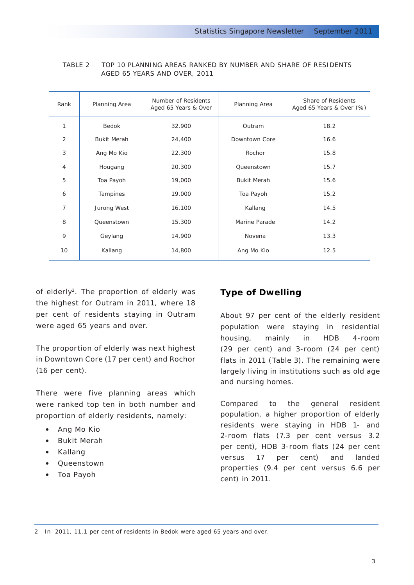| Rank           | Planning Area      | Number of Residents<br>Aged 65 Years & Over | Planning Area      | Share of Residents<br>Aged 65 Years & Over (%) |
|----------------|--------------------|---------------------------------------------|--------------------|------------------------------------------------|
| 1              | Bedok              | 32,900                                      | Outram             | 18.2                                           |
| $\overline{2}$ | <b>Bukit Merah</b> | 24,400                                      | Downtown Core      | 16.6                                           |
| 3              | Ang Mo Kio         | 22,300                                      | Rochor             | 15.8                                           |
| $\overline{4}$ | Hougang            | 20,300                                      | Queenstown         | 15.7                                           |
| 5              | Toa Payoh          | 19,000                                      | <b>Bukit Merah</b> | 15.6                                           |
| 6              | Tampines           | 19,000                                      | Toa Payoh          | 15.2                                           |
| $\overline{7}$ | Jurong West        | 16,100                                      | Kallang            | 14.5                                           |
| 8              | Queenstown         | 15,300                                      | Marine Parade      | 14.2                                           |
| 9              | Geylang            | 14,900                                      | Novena             | 13.3                                           |
| 10             | Kallang            | 14,800                                      | Ang Mo Kio         | 12.5                                           |
|                |                    |                                             |                    |                                                |

#### TABLE 2 TOP 10 PLANNING AREAS RANKED BY NUMBER AND SHARE OF RESIDENTS AGED 65 YEARS AND OVER, 2011

of elderly<sup>2</sup>. The proportion of elderly was the highest for Outram in 2011, where 18 per cent of residents staying in Outram were aged 65 years and over.

The proportion of elderly was next highest in Downtown Core (17 per cent) and Rochor (16 per cent).

There were five planning areas which were ranked top ten in both number and proportion of elderly residents, namely:

- • Ang Mo Kio
- • Bukit Merah
- • Kallang
- • Queenstown
- • Toa Payoh

## **Type of Dwelling**

About 97 per cent of the elderly resident population were staying in residential housing, mainly in HDB 4-room (29 per cent) and 3-room (24 per cent) flats in 2011 (Table 3). The remaining were largely living in institutions such as old age and nursing homes.

Compared to the general resident population, a higher proportion of elderly residents were staying in HDB 1- and 2-room flats (7.3 per cent versus 3.2 per cent), HDB 3-room flats (24 per cent versus 17 per cent) and landed properties (9.4 per cent versus 6.6 per cent) in 2011.

2 In 2011, 11.1 per cent of residents in Bedok were aged 65 years and over.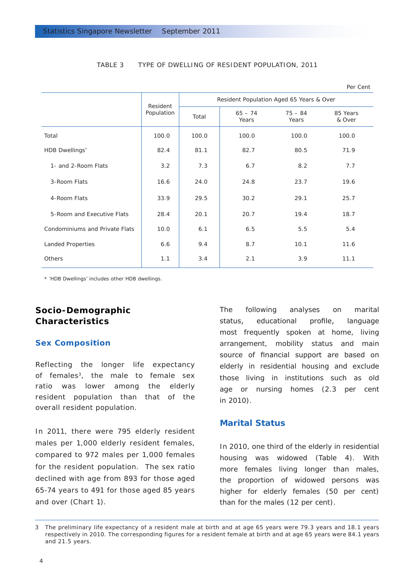|                                |                        | Resident Population Aged 65 Years & Over |                    |                    |                    |  |  |
|--------------------------------|------------------------|------------------------------------------|--------------------|--------------------|--------------------|--|--|
|                                | Resident<br>Population | Total                                    | $65 - 74$<br>Years | $75 - 84$<br>Years | 85 Years<br>& Over |  |  |
| Total                          | 100.0                  | 100.0                                    | 100.0              | 100.0              | 100.0              |  |  |
| <b>HDB Dwellings</b> *         | 82.4                   | 81.1                                     | 82.7               | 80.5               | 71.9               |  |  |
| 1- and 2-Room Flats            | 3.2                    | 7.3                                      | 6.7                | 8.2                | 7.7                |  |  |
| 3-Room Flats                   | 16.6                   | 24.0                                     | 24.8               | 23.7               | 19.6               |  |  |
| 4-Room Flats                   | 33.9                   | 29.5                                     | 30.2               | 29.1               | 25.7               |  |  |
| 5-Room and Executive Flats     | 28.4                   | 20.1                                     | 20.7               | 19.4               | 18.7               |  |  |
| Condominiums and Private Flats | 10.0                   | 6.1                                      | 6.5                | 5.5                | 5.4                |  |  |
| <b>Landed Properties</b>       | 6.6                    | 9.4                                      | 8.7                | 10.1               | 11.6               |  |  |
| Others                         | 1.1                    | 3.4                                      | 2.1                | 3.9                | 11.1               |  |  |

#### TABLE 3 TYPE OF DWELLING OF RESIDENT POPULATION, 2011

\* 'HDB Dwellings' includes other HDB dwellings.

## **Socio-Demographic Characteristics**

#### *Sex Composition*

Reflecting the longer life expectancy of females3, the male to female sex ratio was lower among the elderly resident population than that of the overall resident population.

In 2011, there were 795 elderly resident males per 1,000 elderly resident females, compared to 972 males per 1,000 females for the resident population. The sex ratio declined with age from 893 for those aged 65-74 years to 491 for those aged 85 years and over (Chart 1).

The following analyses on marital status, educational profile, language most frequently spoken at home, living arrangement, mobility status and main source of financial support are based on elderly in residential housing and exclude those living in institutions such as old age or nursing homes (2.3 per cent in 2010).

Per Cent

#### *Marital Status*

In 2010, one third of the elderly in residential housing was widowed (Table 4). With more females living longer than males, the proportion of widowed persons was higher for elderly females (50 per cent) than for the males (12 per cent).

<sup>3</sup> The preliminary life expectancy of a resident male at birth and at age 65 years were 79.3 years and 18.1 years respectively in 2010. The corresponding figures for a resident female at birth and at age 65 years were 84.1 years and 21.5 years.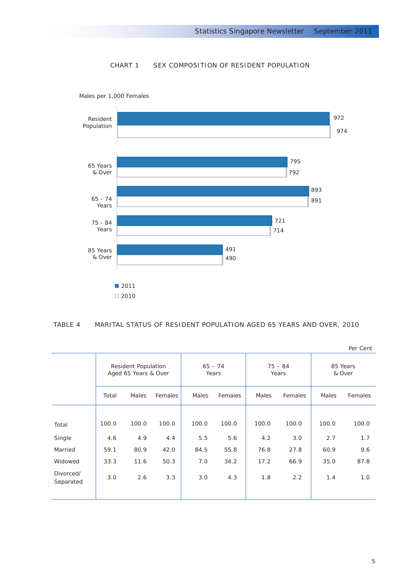#### CHART 1 SEX COMPOSITION OF RESIDENT POPULATION



Males per 1,000 Females

#### TABLE 4 MARITAL STATUS OF RESIDENT POPULATION AGED 65 YEARS AND OVER, 2010

|                        |                                             |       |                    |       |                    |       |                    |       | Per cent |
|------------------------|---------------------------------------------|-------|--------------------|-------|--------------------|-------|--------------------|-------|----------|
|                        | Resident Population<br>Aged 65 Years & Over |       | $65 - 74$<br>Years |       | $75 - 84$<br>Years |       | 85 Years<br>& Over |       |          |
|                        | Total                                       | Males | Females            | Males | Females            | Males | Females            | Males | Females  |
|                        |                                             |       |                    |       |                    |       |                    |       |          |
| Total                  | 100.0                                       | 100.0 | 100.0              | 100.0 | 100.0              | 100.0 | 100.0              | 100.0 | 100.0    |
| Single                 | 4.6                                         | 4.9   | 4.4                | 5.5   | 5.6                | 4.2   | 3.0                | 2.7   | 1.7      |
| Married                | 59.1                                        | 80.9  | 42.0               | 84.5  | 55.8               | 76.8  | 27.8               | 60.9  | 9.6      |
| Widowed                | 33.3                                        | 11.6  | 50.3               | 7.0   | 34.2               | 17.2  | 66.9               | 35.0  | 87.8     |
| Divorced/<br>Separated | 3.0                                         | 2.6   | 3.3                | 3.0   | 4.3                | 1.8   | 2.2                | 1.4   | 1.0      |
|                        |                                             |       |                    |       |                    |       |                    |       |          |

Per Cent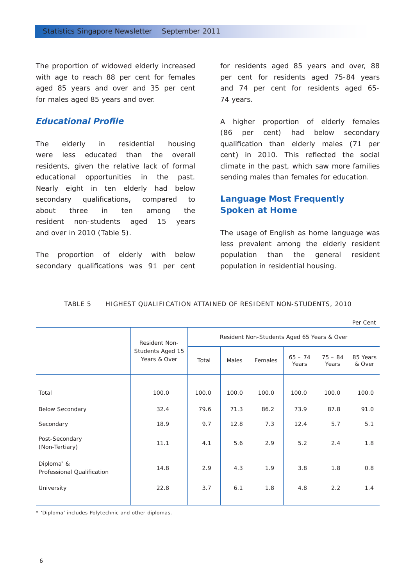The proportion of widowed elderly increased with age to reach 88 per cent for females aged 85 years and over and 35 per cent for males aged 85 years and over.

## *Educational Profile*

The elderly in residential housing were less educated than the overall residents, given the relative lack of formal educational opportunities in the past. Nearly eight in ten elderly had below secondary qualifications, compared to about three in ten among the resident non-students aged 15 years and over in 2010 (Table 5).

The proportion of elderly with below secondary qualifications was 91 per cent for residents aged 85 years and over, 88 per cent for residents aged 75-84 years and 74 per cent for residents aged 65- 74 years.

A higher proportion of elderly females (86 per cent) had below secondary qualification than elderly males (71 per cent) in 2010. This reflected the social climate in the past, which saw more families sending males than females for education.

## *Language Most Frequently Spoken at Home*

The usage of English as home language was less prevalent among the elderly resident population than the general resident population in residential housing.

#### TABLE 5 HIGHEST qUALIFICATION aTTAINED OF rESIDENT nON-sTUDENTS, 2010

Per Cent

|                                                      | Resident Non-                    | Resident Non-Students Aged 65 Years & Over |       |         |                    |                    |                    |
|------------------------------------------------------|----------------------------------|--------------------------------------------|-------|---------|--------------------|--------------------|--------------------|
|                                                      | Students Aged 15<br>Years & Over | Total                                      | Males | Females | $65 - 74$<br>Years | $75 - 84$<br>Years | 85 Years<br>& Over |
|                                                      |                                  |                                            |       |         |                    |                    |                    |
| Total                                                | 100.0                            | 100.0                                      | 100.0 | 100.0   | 100.0              | 100.0              | 100.0              |
| <b>Below Secondary</b>                               | 32.4                             | 79.6                                       | 71.3  | 86.2    | 73.9               | 87.8               | 91.0               |
| Secondary                                            | 18.9                             | 9.7                                        | 12.8  | 7.3     | 12.4               | 5.7                | 5.1                |
| Post-Secondary<br>(Non-Tertiary)                     | 11.1                             | 4.1                                        | 5.6   | 2.9     | 5.2                | 2.4                | 1.8                |
| Diploma <sup>*</sup> &<br>Professional Qualification | 14.8                             | 2.9                                        | 4.3   | 1.9     | 3.8                | 1.8                | 0.8                |
| University                                           | 22.8                             | 3.7                                        | 6.1   | 1.8     | 4.8                | 2.2                | 1.4                |
|                                                      |                                  |                                            |       |         |                    |                    |                    |

\* 'Diploma' includes Polytechnic and other diplomas.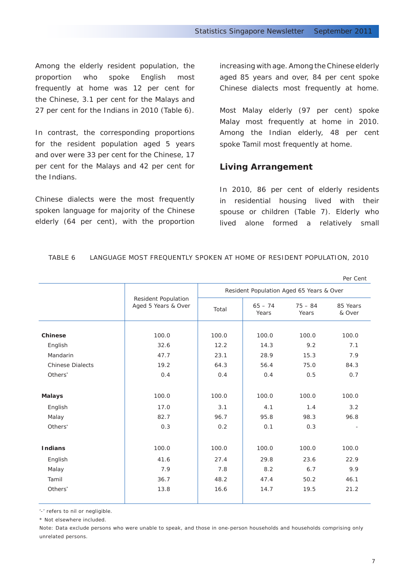Among the elderly resident population, the proportion who spoke English most frequently at home was 12 per cent for the Chinese, 3.1 per cent for the Malays and 27 per cent for the Indians in 2010 (Table 6).

In contrast, the corresponding proportions for the resident population aged 5 years and over were 33 per cent for the Chinese, 17 per cent for the Malays and 42 per cent for the Indians.

Chinese dialects were the most frequently spoken language for majority of the Chinese elderly (64 per cent), with the proportion increasing with age. Among the Chinese elderly aged 85 years and over, 84 per cent spoke Chinese dialects most frequently at home.

Most Malay elderly (97 per cent) spoke Malay most frequently at home in 2010. Among the Indian elderly, 48 per cent spoke Tamil most frequently at home.

## **Living Arrangement**

In 2010, 86 per cent of elderly residents in residential housing lived with their spouse or children (Table 7). Elderly who lived alone formed a relatively small

|                         |                                            |       |                                          |                    | Per Cent           |  |  |
|-------------------------|--------------------------------------------|-------|------------------------------------------|--------------------|--------------------|--|--|
|                         |                                            |       | Resident Population Aged 65 Years & Over |                    |                    |  |  |
|                         | Resident Population<br>Aged 5 Years & Over | Total | $65 - 74$<br>Years                       | $75 - 84$<br>Years | 85 Years<br>& Over |  |  |
| <b>Chinese</b>          | 100.0                                      | 100.0 | 100.0                                    | 100.0              | 100.0              |  |  |
| English                 | 32.6                                       | 12.2  | 14.3                                     | 9.2                | 7.1                |  |  |
| Mandarin                | 47.7                                       | 23.1  | 28.9                                     | 15.3               | 7.9                |  |  |
| <b>Chinese Dialects</b> | 19.2                                       | 64.3  | 56.4                                     | 75.0               | 84.3               |  |  |
| Others <sup>*</sup>     | 0.4                                        | 0.4   | 0.4                                      | 0.5                | 0.7                |  |  |
| <b>Malays</b>           | 100.0                                      | 100.0 | 100.0                                    | 100.0              | 100.0              |  |  |
| English                 | 17.0                                       | 3.1   | 4.1                                      | 1.4                | 3.2                |  |  |
| Malay                   | 82.7                                       | 96.7  | 95.8                                     | 98.3               | 96.8               |  |  |
| Others <sup>*</sup>     | 0.3                                        | 0.2   | 0.1                                      | 0.3                |                    |  |  |
| <b>Indians</b>          | 100.0                                      | 100.0 | 100.0                                    | 100.0              | 100.0              |  |  |
| English                 | 41.6                                       | 27.4  | 29.8                                     | 23.6               | 22.9               |  |  |
| Malay                   | 7.9                                        | 7.8   | 8.2                                      | 6.7                | 9.9                |  |  |
| Tamil                   | 36.7                                       | 48.2  | 47.4                                     | 50.2               | 46.1               |  |  |
| Others <sup>*</sup>     | 13.8                                       | 16.6  | 14.7                                     | 19.5               | 21.2               |  |  |
|                         |                                            |       |                                          |                    |                    |  |  |

#### TABLE 6 LANGUAGE MOST FREQUENTLY SPOKEN AT HOME OF RESIDENT POPULATION, 2010

'-' refers to nil or negligible.

\* Not elsewhere included.

Note: Data exclude persons who were unable to speak, and those in one-person households and households comprising only unrelated persons.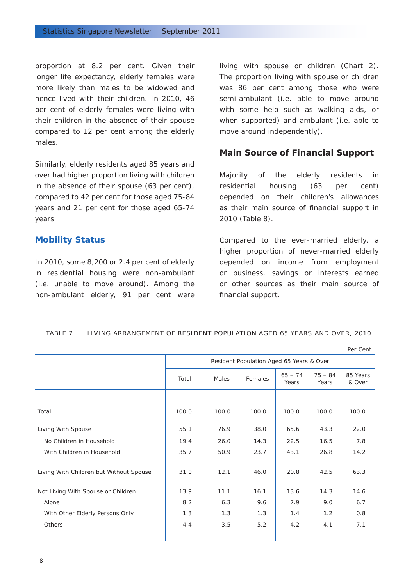proportion at 8.2 per cent. Given their longer life expectancy, elderly females were more likely than males to be widowed and hence lived with their children. In 2010, 46 per cent of elderly females were living with their children in the absence of their spouse compared to 12 per cent among the elderly males.

Similarly, elderly residents aged 85 years and over had higher proportion living with children in the absence of their spouse (63 per cent), compared to 42 per cent for those aged 75-84 years and 21 per cent for those aged 65-74 years.

#### *Mobility Status*

In 2010, some 8,200 or 2.4 per cent of elderly in residential housing were non-ambulant (i.e. unable to move around). Among the non-ambulant elderly, 91 per cent were

living with spouse or children (Chart 2). The proportion living with spouse or children was 86 per cent among those who were semi-ambulant (i.e. able to move around with some help such as walking aids, or when supported) and ambulant (i.e. able to move around independently).

#### **Main Source of Financial Support**

Majority of the elderly residents in residential housing (63 per cent) depended on their children's allowances as their main source of financial support in 2010 (Table 8).

Compared to the ever-married elderly, a higher proportion of never-married elderly depended on income from employment or business, savings or interests earned or other sources as their main source of financial support.

#### TABLE 7 living arrangement of resident population aged 65 years and over , 2010

Resident Population Aged 65 Years & Over Total Males Females  $65 - 74$ Years 75 – 84 Years 85 Years & Over Total 100.0 100.0 100.0 100.0 100.0 100.0 Living With Spouse 55.1 76.9 38.0 65.6 43.3 22.0 No Children in Household 19.4 26.0 14.3 22.5 16.5 7.8 With Children in Household 1.35.7 | 50.9 23.7 | 43.1 26.8 14.2 Living With Children but Without Spouse | 31.0 | 12.1 46.0 | 20.8 42.5 63.3 Not Living With Spouse or Children 13.9 11.1 16.1 13.6 14.3 14.6 Alone 8.2 6.3 9.6 7.9 9.0 6.7 م... المساحة التي يتعلق المساحة التي يتعلق المساحة التي يتعلق المساحة التي يتعلق With Other Elderly Persons Only 1.3 1.3 1.3 1.4 1.2 0.8 Others 4.4 3.5 5.2 4.2 4.1 7.1 Per Cent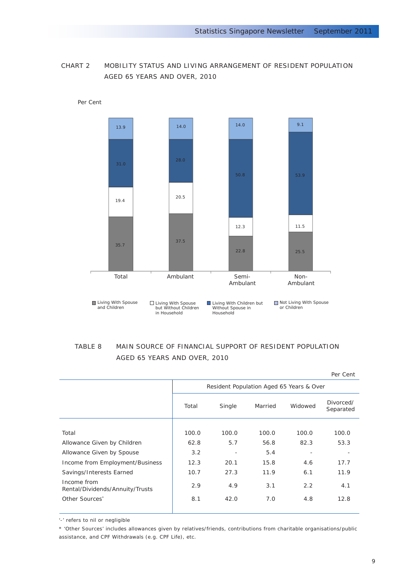## CHART 2 MOBILITY STATUS AND LIVING ARRANGEMENT OF REsident POPULATION AGED 65 YEARS AND OVER, 2010



Per Cent

## TABLE 8 main source of financial support of resident population AGED 65 YEARS AND OVER, 2010

|                                                |       |                                          |         |         | Per Cent               |
|------------------------------------------------|-------|------------------------------------------|---------|---------|------------------------|
|                                                |       | Resident Population Aged 65 Years & Over |         |         |                        |
|                                                | Total | Single                                   | Married | Widowed | Divorced/<br>Separated |
|                                                |       |                                          |         |         |                        |
| Total                                          | 100.0 | 100.0                                    | 100.0   | 100.0   | 100.0                  |
| Allowance Given by Children                    | 62.8  | 5.7                                      | 56.8    | 82.3    | 53.3                   |
| Allowance Given by Spouse                      | 3.2   |                                          | 5.4     |         |                        |
| Income from Employment/Business                | 12.3  | 20.1                                     | 15.8    | 4.6     | 17.7                   |
| Savings/Interests Earned                       | 10.7  | 27.3                                     | 11.9    | 6.1     | 11.9                   |
| Income from<br>Rental/Dividends/Annuity/Trusts | 2.9   | 4.9                                      | 3.1     | 2.2     | 4.1                    |
| Other Sources <sup>*</sup>                     | 8.1   | 42.0                                     | 7.0     | 4.8     | 12.8                   |
|                                                |       |                                          |         |         |                        |

'-' refers to nil or negligible

\* 'Other Sources' includes allowances given by relatives/friends, contributions from charitable organisations/public assistance, and CPF Withdrawals (e.g. CPF Life), etc.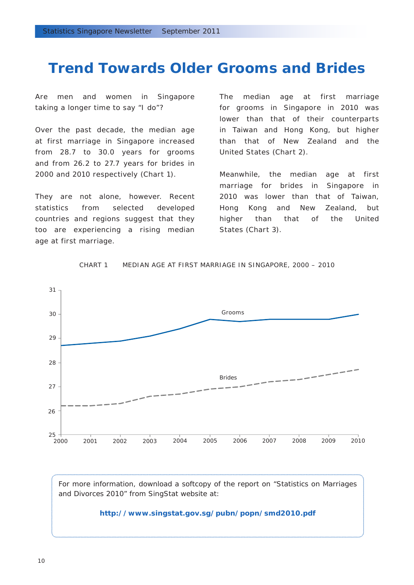## **Trend Towards Older Grooms and Brides**

Are men and women in Singapore taking a longer time to say "I do"?

Over the past decade, the median age at first marriage in Singapore increased from 28.7 to 30.0 years for grooms and from 26.2 to 27.7 years for brides in 2000 and 2010 respectively (Chart 1).

They are not alone, however. Recent statistics from selected developed countries and regions suggest that they too are experiencing a rising median age at first marriage.

The median age at first marriage for grooms in Singapore in 2010 was lower than that of their counterparts in Taiwan and Hong Kong, but higher than that of New Zealand and the United States (Chart 2).

Meanwhile, the median age at first marriage for brides in Singapore in 2010 was lower than that of Taiwan, Hong Kong and New Zealand, but higher than that of the United States (Chart 3).



Chart 1 Median Age at First Marriage in Singapore , 2000 – 2010

For more information, download a softcopy of the report on "Statistics on Marriages and Divorces 2010" from SingStat website at:

#### **http://www.singstat.gov.sg/pubn/popn/smd2010.pdf**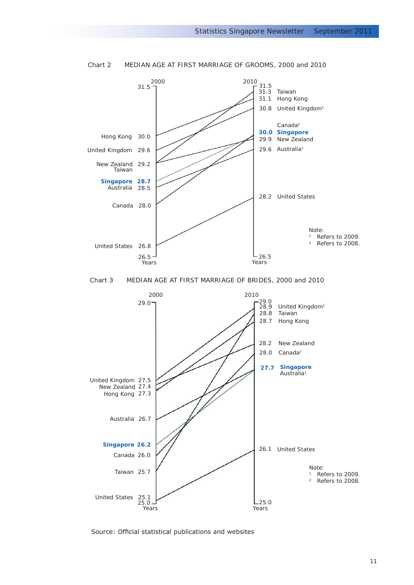

Chart 2 MEDIAN AGE AT FIRST MARRIAGE OF GROOMS, 2000 and 2010



Source: Official statistical publications and websites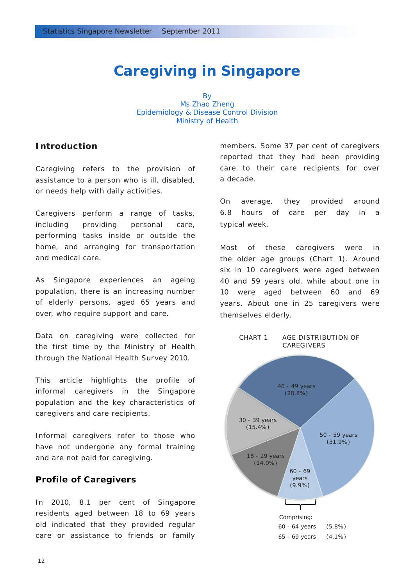## **Caregiving in Singapore**

**By** Ms Zhao Zheng Epidemiology & Disease Control Division Ministry of Health

### **Introduction**

Caregiving refers to the provision of assistance to a person who is ill, disabled, or needs help with daily activities.

Caregivers perform a range of tasks, including providing personal care, performing tasks inside or outside the home, and arranging for transportation and medical care.

As Singapore experiences an ageing population, there is an increasing number of elderly persons, aged 65 years and over, who require support and care.

Data on caregiving were collected for the first time by the Ministry of Health through the National Health Survey 2010.

This article highlights the profile of informal caregivers in the Singapore population and the key characteristics of caregivers and care recipients.

Informal caregivers refer to those who have not undergone any formal training and are not paid for caregiving.

### **Profile of Caregivers**

In 2010, 8.1 per cent of Singapore residents aged between 18 to 69 years old indicated that they provided regular care or assistance to friends or family members. Some 37 per cent of caregivers reported that they had been providing care to their care recipients for over a decade.

On average, they provided around 6.8 hours of care per day in a typical week.

Most of these caregivers were in the older age groups (Chart 1). Around six in 10 caregivers were aged between 40 and 59 years old, while about one in 10 were aged between 60 and 69 years. About one in 25 caregivers were themselves elderly.

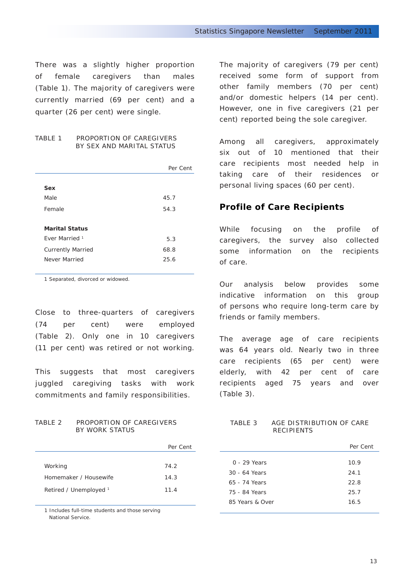There was a slightly higher proportion of female caregivers than males (Table 1). The majority of caregivers were currently married (69 per cent) and a quarter (26 per cent) were single.

#### TABLE 1 PROPORTION OF CAREGIVERS BY SEX AND MARITAL STATUS

|                           | Per Cent |  |
|---------------------------|----------|--|
|                           |          |  |
| Sex                       |          |  |
| Male                      | 45.7     |  |
| Female                    | 54.3     |  |
|                           |          |  |
| <b>Marital Status</b>     |          |  |
| Ever Married <sup>1</sup> | 5.3      |  |
| <b>Currently Married</b>  | 68.8     |  |
| Never Married             | 25.6     |  |
|                           |          |  |

1 Separated, divorced or widowed.

Close to three-quarters of caregivers (74 per cent) were employed (Table 2). Only one in 10 caregivers (11 per cent) was retired or not working.

This suggests that most caregivers juggled caregiving tasks with work commitments and family responsibilities.

#### TABLE 2 PROPORTION OF CAREGIVERS BY WORK STATUS

|                        | Per Cent |
|------------------------|----------|
|                        |          |
| Working                | 74.2     |
| Homemaker / Housewife  | 14.3     |
| Retired / Unemployed 1 | 11.4     |
|                        |          |

1 Includes full-time students and those serving National Service.

The majority of caregivers (79 per cent) received some form of support from other family members (70 per cent) and/or domestic helpers (14 per cent). However, one in five caregivers (21 per cent) reported being the sole caregiver.

Among all caregivers, approximately six out of 10 mentioned that their care recipients most needed help in taking care of their residences or personal living spaces (60 per cent).

### **Profile of Care Recipients**

While focusing on the profile of caregivers, the survey also collected some information on the recipients of care.

Our analysis below provides some indicative information on this group of persons who require long-term care by friends or family members.

The average age of care recipients was 64 years old. Nearly two in three care recipients (65 per cent) were elderly, with 42 per cent of care recipients aged 75 years and over (Table 3).

#### TABLE 3 AGE DISTRIBUTION OF CARE RECIPIENTS

|                 | Per Cent |  |
|-----------------|----------|--|
|                 |          |  |
| 0 - 29 Years    | 10.9     |  |
| 30 - 64 Years   | 24.1     |  |
| 65 - 74 Years   | 22.8     |  |
| 75 - 84 Years   | 25.7     |  |
| 85 Years & Over | 16.5     |  |
|                 |          |  |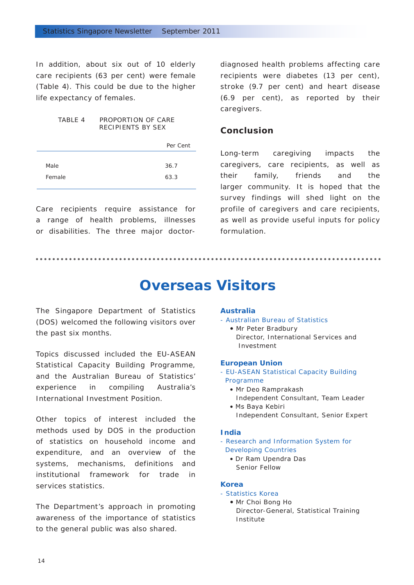In addition, about six out of 10 elderly care recipients (63 per cent) were female (Table 4). This could be due to the higher life expectancy of females.

#### TABLE 4 PROPORTION OF CARE RECIPIENTS BY SEX

|        | Per Cent |
|--------|----------|
|        |          |
| Male   | 36.7     |
| Female | 63.3     |
|        |          |

Care recipients require assistance for a range of health problems, illnesses or disabilities. The three major doctor-

diagnosed health problems affecting care recipients were diabetes (13 per cent), stroke (9.7 per cent) and heart disease (6.9 per cent), as reported by their caregivers.

### **Conclusion**

Long-term caregiving impacts the caregivers, care recipients, as well as their family, friends and the larger community. It is hoped that the survey findings will shed light on the profile of caregivers and care recipients, as well as provide useful inputs for policy formulation.

## **Overseas Visitors**

The Singapore Department of Statistics (DOS) welcomed the following visitors over the past six months.

Topics discussed included the EU-ASEAN Statistical Capacity Building Programme, and the Australian Bureau of Statistics' experience in compiling Australia's International Investment Position.

Other topics of interest included the methods used by DOS in the production of statistics on household income and expenditure, and an overview of the systems, mechanisms, definitions and institutional framework for trade in services statistics.

The Department's approach in promoting awareness of the importance of statistics to the general public was also shared.

#### **Australia**

#### *- Australian Bureau of Statistics*

• Mr Peter Bradbury Director, International Services and Investment

#### **European Union**

- *EU-ASEAN Statistical Capacity Building Programme*
	- Mr Deo Ramprakash Independent Consultant, Team Leader
	- Ms Baya Kebiri Independent Consultant, Senior Expert

#### **India**

*- Research and Information System for Developing Countries* 

• Dr Ram Upendra Das Senior Fellow

#### **Korea**

- *Statistics Korea*
	- Mr Choi Bong Ho Director-General, Statistical Training Institute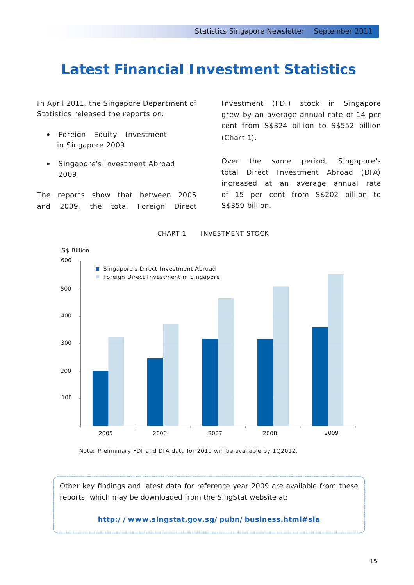## **Latest Financial Investment Statistics**

In April 2011, the Singapore Department of Statistics released the reports on:

- *Foreign Equity Investment in Singapore 2009*
- *Singapore's Investment Abroad 2009*

The reports show that between 2005 and 2009, the total Foreign Direct Investment (FDI) stock in Singapore grew by an average annual rate of 14 per cent from S\$324 billion to S\$552 billion (Chart 1).

Over the same period, Singapore's total Direct Investment Abroad (DIA) increased at an average annual rate of 15 per cent from S\$202 billion to S\$359 billion.



CHART 1 INVESTMENT STOCK

Note: Preliminary FDI and DIA data for 2010 will be available by 1Q2012.

Other key findings and latest data for reference year 2009 are available from these reports, which may be downloaded from the SingStat website at:

**http://www.singstat.gov.sg/pubn/business.html#sia**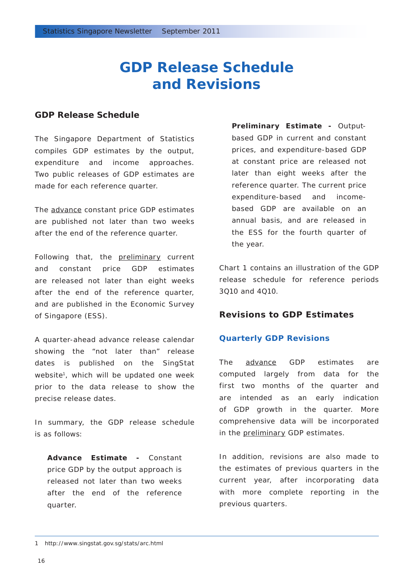## **GDP Release Schedule and Revisions**

### **GDP Release Schedule**

The Singapore Department of Statistics compiles GDP estimates by the output, expenditure and income approaches. Two public releases of GDP estimates are made for each reference quarter.

The advance constant price GDP estimates are published not later than two weeks after the end of the reference quarter.

Following that, the preliminary current and constant price GDP estimates are released not later than eight weeks after the end of the reference quarter, and are published in the *Economic Survey of Singapore* (ESS).

A quarter-ahead advance release calendar showing the "not later than" release dates is published on the SingStat website<sup>1</sup>, which will be updated one week prior to the data release to show the precise release dates.

In summary, the GDP release schedule is as follows:

**Advance Estimate -** Constant price GDP by the output approach is released not later than two weeks after the end of the reference quarter.

**Preliminary Estimate -** Outputbased GDP in current and constant prices, and expenditure-based GDP at constant price are released not later than eight weeks after the reference quarter. The current price expenditure-based and incomebased GDP are available on an annual basis, and are released in the ESS for the fourth quarter of the year.

Chart 1 contains an illustration of the GDP release schedule for reference periods 3Q10 and 4Q10.

## **Revisions to GDP Estimates**

### *Quarterly GDP Revisions*

The advance GDP estimates are computed largely from data for the first two months of the quarter and are intended as an early indication of GDP growth in the quarter. More comprehensive data will be incorporated in the preliminary GDP estimates.

In addition, revisions are also made to the estimates of previous quarters in the current year, after incorporating data with more complete reporting in the previous quarters.

<sup>1</sup> http://www.singstat.gov.sg/stats/arc.html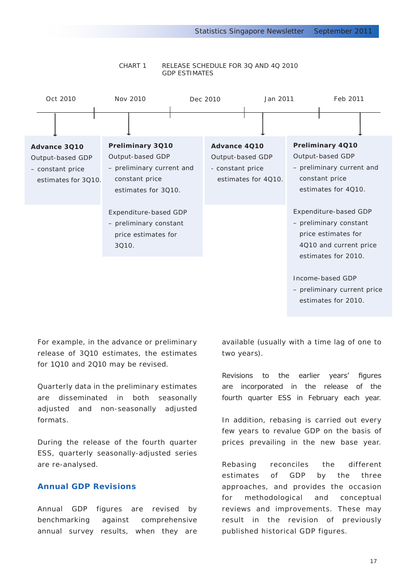

#### Chart 1 Release Schedule for 3Q and 4Q 2010 GDP Estimates

For example, in the advance or preliminary release of 3Q10 estimates, the estimates for 1Q10 and 2Q10 may be revised.

Quarterly data in the preliminary estimates are disseminated in both seasonally adjusted and non-seasonally adjusted formats.

During the release of the fourth quarter ESS, quarterly seasonally-adjusted series are re-analysed.

#### *Annual GDP Revisions*

Annual GDP figures are revised by benchmarking against comprehensive annual survey results, when they are available (usually with a time lag of one to two years).

Revisions to the earlier years' figures are incorporated in the release of the fourth quarter ESS in February each year.

In addition, rebasing is carried out every few years to revalue GDP on the basis of prices prevailing in the new base year.

Rebasing reconciles the different estimates of GDP by the three approaches, and provides the occasion for methodological and conceptual reviews and improvements. These may result in the revision of previously published historical GDP figures.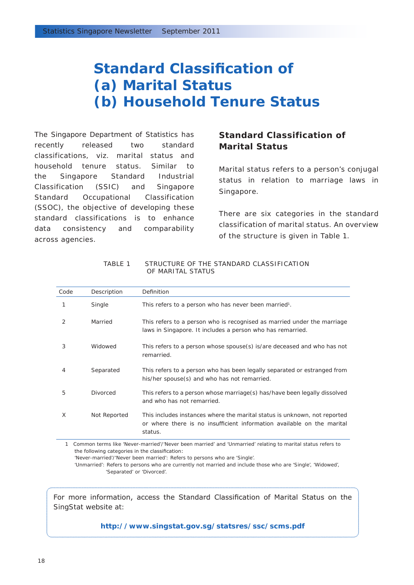## **Standard Classification of (a) Marital Status (b) Household Tenure Status**

The Singapore Department of Statistics has recently released two standard classifications, viz. marital status and household tenure status. Similar to the Singapore Standard Industrial Classification (SSIC) and Singapore Standard Occupational Classification (SSOC), the objective of developing these standard classifications is to enhance data consistency and comparability across agencies.

## **Standard Classification of Marital Status**

Marital status refers to a person's conjugal status in relation to marriage laws in Singapore.

There are six categories in the standard classification of marital status. An overview of the structure is given in Table 1.

| Code | Description  | Definition                                                                                                                                                     |
|------|--------------|----------------------------------------------------------------------------------------------------------------------------------------------------------------|
| 1    | Single       | This refers to a person who has never been married <sup>1</sup> .                                                                                              |
| 2    | Married      | This refers to a person who is recognised as married under the marriage<br>laws in Singapore. It includes a person who has remarried.                          |
| 3    | Widowed      | This refers to a person whose spouse(s) is/are deceased and who has not<br>remarried.                                                                          |
| 4    | Separated    | This refers to a person who has been legally separated or estranged from<br>his/her spouse(s) and who has not remarried.                                       |
| 5    | Divorced     | This refers to a person whose marriage(s) has/have been legally dissolved<br>and who has not remarried.                                                        |
| X    | Not Reported | This includes instances where the marital status is unknown, not reported<br>or where there is no insufficient information available on the marital<br>status. |

Table 1 Structure of the standard classification of marital status

1 Common terms like 'Never-married'/'Never been married' and 'Unmarried' relating to marital status refers to the following categories in the classification:

'Never-married'/'Never been married': Refers to persons who are 'Single'.

'Unmarried': Refers to persons who are currently not married and include those who are 'Single', 'Widowed', 'Separated' or 'Divorced'.

For more information, access the Standard Classification of Marital Status on the SingStat website at:

**http://www.singstat.gov.sg/statsres/ssc/scms.pdf**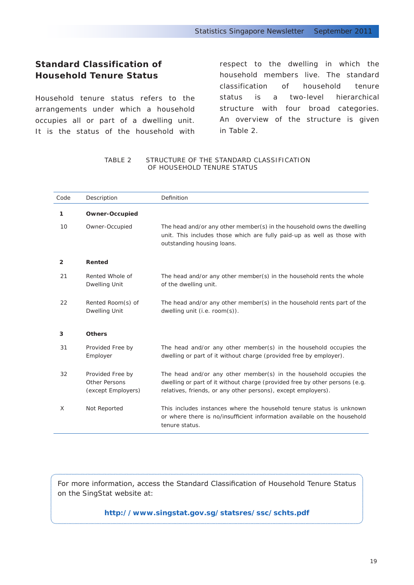## **Standard Classification of Household Tenure Status**

Household tenure status refers to the arrangements under which a household occupies all or part of a dwelling unit. It is the status of the household with respect to the dwelling in which the household members live. The standard classification of household tenure status is a two-level hierarchical structure with four broad categories. An overview of the structure is given in Table 2.

#### Table 2 STRUCTURE of the standard classification of HOUSEHOLD TENURE STATUS

| Code           | Description                                                    | Definition                                                                                                                                                                                                        |
|----------------|----------------------------------------------------------------|-------------------------------------------------------------------------------------------------------------------------------------------------------------------------------------------------------------------|
| 1              | <b>Owner-Occupied</b>                                          |                                                                                                                                                                                                                   |
| 10             | Owner-Occupied                                                 | The head and/or any other member(s) in the household owns the dwelling<br>unit. This includes those which are fully paid-up as well as those with<br>outstanding housing loans.                                   |
| $\overline{2}$ | Rented                                                         |                                                                                                                                                                                                                   |
| 21             | Rented Whole of<br><b>Dwelling Unit</b>                        | The head and/or any other member(s) in the household rents the whole<br>of the dwelling unit.                                                                                                                     |
| 22             | Rented Room(s) of<br><b>Dwelling Unit</b>                      | The head and/or any other member(s) in the household rents part of the<br>dwelling unit (i.e. room(s)).                                                                                                           |
| 3              | <b>Others</b>                                                  |                                                                                                                                                                                                                   |
| 31             | Provided Free by<br>Employer                                   | The head and/or any other member(s) in the household occupies the<br>dwelling or part of it without charge (provided free by employer).                                                                           |
| 32             | Provided Free by<br><b>Other Persons</b><br>(except Employers) | The head and/or any other member(s) in the household occupies the<br>dwelling or part of it without charge (provided free by other persons (e.g.<br>relatives, friends, or any other persons), except employers). |
| X              | Not Reported                                                   | This includes instances where the household tenure status is unknown<br>or where there is no/insufficient information available on the household<br>tenure status.                                                |

For more information, access the Standard Classification of Household Tenure Status on the SingStat website at:

**http://www.singstat.gov.sg/statsres/ssc/schts.pdf**